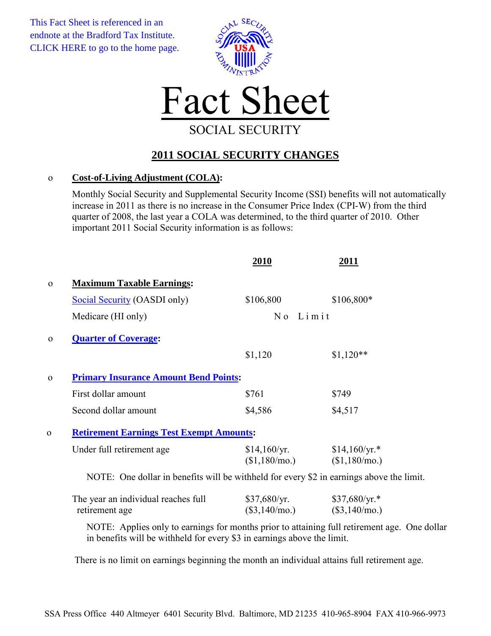This Fact Sheet is referenced in an endnote at the Bradford Tax Institute. [CLICK HERE to go to the home page.](http://bradfordtaxinstitute.com/index1.aspx)





## **2011 SOCIAL SECURITY CHANGES**

## o **Cost-of-Living Adjustment (COLA):**

Monthly Social Security and Supplemental Security Income (SSI) benefits will not automatically increase in 2011 as there is no increase in the Consumer Price Index (CPI-W) from the third quarter of 2008, the last year a COLA was determined, to the third quarter of 2010. Other important 2011 Social Security information is as follows:

|              |                                                                                          | 2010                                            | 2011                             |  |
|--------------|------------------------------------------------------------------------------------------|-------------------------------------------------|----------------------------------|--|
| $\mathbf 0$  | <b>Maximum Taxable Earnings:</b>                                                         |                                                 |                                  |  |
|              | Social Security (OASDI only)                                                             | \$106,800                                       | \$106,800*                       |  |
|              | Medicare (HI only)                                                                       | No Limit                                        |                                  |  |
| $\Omega$     | <b>Quarter of Coverage:</b>                                                              |                                                 |                                  |  |
|              |                                                                                          | \$1,120                                         | $$1,120**$                       |  |
| $\mathbf{O}$ | <b>Primary Insurance Amount Bend Points:</b>                                             |                                                 |                                  |  |
|              | First dollar amount                                                                      | \$761                                           | \$749                            |  |
|              | Second dollar amount                                                                     | \$4,586                                         | \$4,517                          |  |
| $\mathbf{0}$ |                                                                                          | <b>Retirement Earnings Test Exempt Amounts:</b> |                                  |  |
|              | Under full retirement age                                                                | \$14,160/yr.<br>(\$1,180/mo.)                   | $$14,160/yr.*$<br>$$1,180/mol$ . |  |
|              | NOTE: One dollar in benefits will be withheld for every \$2 in earnings above the limit. |                                                 |                                  |  |
|              | The year an individual reaches full                                                      | \$37,680/yr.                                    | $$37,680/yr.*$                   |  |
|              | retirement age                                                                           | $(\$3,140/mo.)$                                 | $(\$3,140/mo.)$                  |  |

NOTE: Applies only to earnings for months prior to attaining full retirement age. One dollar in benefits will be withheld for every \$3 in earnings above the limit.

There is no limit on earnings beginning the month an individual attains full retirement age.